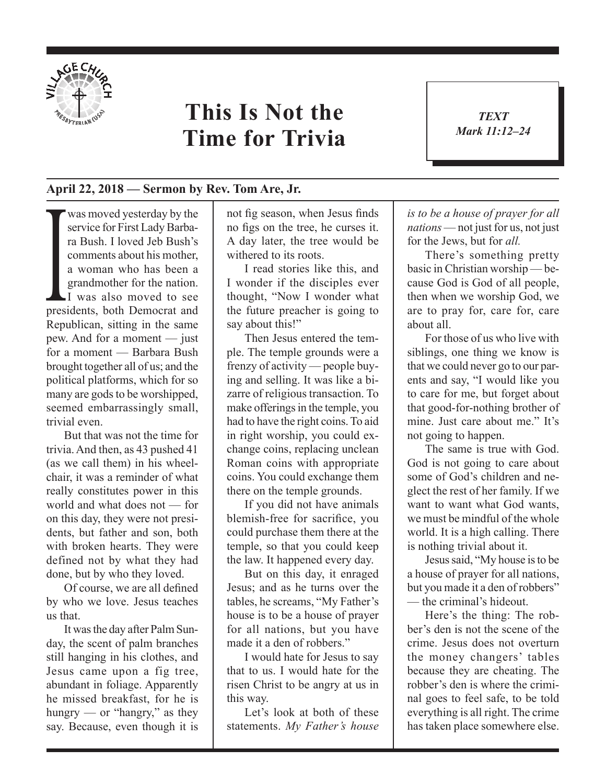

## **This Is Not the Time for Trivia**

*TEXT Mark 11:12–24* 1

## **April 22, 2018 — Sermon by Rev. Tom Are, Jr.**

comments about his mother,<br>a woman who has been a<br>grandmother for the nation.<br>I was also moved to see<br>presidents, both Democrat and was moved yesterday by the service for First Lady Barbara Bush. I loved Jeb Bush's comments about his mother, a woman who has been a grandmother for the nation. I was also moved to see Republican, sitting in the same pew. And for a moment — just for a moment — Barbara Bush brought together all of us; and the political platforms, which for so many are gods to be worshipped, seemed embarrassingly small, trivial even.

But that was not the time for trivia. And then, as 43 pushed 41 (as we call them) in his wheelchair, it was a reminder of what really constitutes power in this world and what does not — for on this day, they were not presidents, but father and son, both with broken hearts. They were defined not by what they had done, but by who they loved.

Of course, we are all defined by who we love. Jesus teaches us that.

It was the day after Palm Sunday, the scent of palm branches still hanging in his clothes, and Jesus came upon a fig tree, abundant in foliage. Apparently he missed breakfast, for he is hungry — or "hangry," as they say. Because, even though it is not fig season, when Jesus finds no figs on the tree, he curses it. A day later, the tree would be withered to its roots.

I read stories like this, and I wonder if the disciples ever thought, "Now I wonder what the future preacher is going to say about this!"

Then Jesus entered the temple. The temple grounds were a frenzy of activity — people buying and selling. It was like a bizarre of religious transaction. To make offerings in the temple, you had to have the right coins. To aid in right worship, you could exchange coins, replacing unclean Roman coins with appropriate coins. You could exchange them there on the temple grounds.

If you did not have animals blemish-free for sacrifice, you could purchase them there at the temple, so that you could keep the law. It happened every day.

But on this day, it enraged Jesus; and as he turns over the tables, he screams, "My Father's house is to be a house of prayer for all nations, but you have made it a den of robbers."

I would hate for Jesus to say that to us. I would hate for the risen Christ to be angry at us in this way.

Let's look at both of these statements. *My Father's house*  *is to be a house of prayer for all nations* — not just for us, not just for the Jews, but for *all.*

There's something pretty basic in Christian worship — because God is God of all people, then when we worship God, we are to pray for, care for, care about all.

For those of us who live with siblings, one thing we know is that we could never go to our parents and say, "I would like you to care for me, but forget about that good-for-nothing brother of mine. Just care about me." It's not going to happen.

The same is true with God. God is not going to care about some of God's children and neglect the rest of her family. If we want to want what God wants, we must be mindful of the whole world. It is a high calling. There is nothing trivial about it.

Jesus said, "My house is to be a house of prayer for all nations, but you made it a den of robbers" — the criminal's hideout.

Here's the thing: The robber's den is not the scene of the crime. Jesus does not overturn the money changers' tables because they are cheating. The robber's den is where the criminal goes to feel safe, to be told everything is all right. The crime has taken place somewhere else.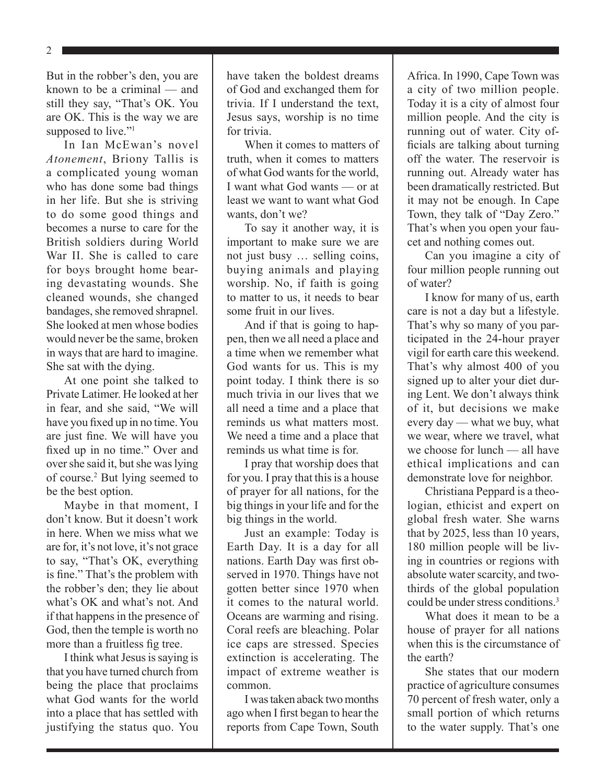2

But in the robber's den, you are known to be a criminal — and still they say, "That's OK. You are OK. This is the way we are supposed to live."<sup>1</sup>

In Ian McEwan's novel *Atonement*, Briony Tallis is a complicated young woman who has done some bad things in her life. But she is striving to do some good things and becomes a nurse to care for the British soldiers during World War II. She is called to care for boys brought home bearing devastating wounds. She cleaned wounds, she changed bandages, she removed shrapnel. She looked at men whose bodies would never be the same, broken in ways that are hard to imagine. She sat with the dying.

At one point she talked to Private Latimer. He looked at her in fear, and she said, "We will have you fixed up in no time. You are just fine. We will have you fixed up in no time." Over and over she said it, but she was lying of course.2 But lying seemed to be the best option.

Maybe in that moment, I don't know. But it doesn't work in here. When we miss what we are for, it's not love, it's not grace to say, "That's OK, everything is fine." That's the problem with the robber's den; they lie about what's OK and what's not. And if that happens in the presence of God, then the temple is worth no more than a fruitless fig tree.

I think what Jesus is saying is that you have turned church from being the place that proclaims what God wants for the world into a place that has settled with justifying the status quo. You

have taken the boldest dreams of God and exchanged them for trivia. If I understand the text, Jesus says, worship is no time for trivia.

When it comes to matters of truth, when it comes to matters of what God wants for the world, I want what God wants — or at least we want to want what God wants, don't we?

To say it another way, it is important to make sure we are not just busy … selling coins, buying animals and playing worship. No, if faith is going to matter to us, it needs to bear some fruit in our lives.

And if that is going to happen, then we all need a place and a time when we remember what God wants for us. This is my point today. I think there is so much trivia in our lives that we all need a time and a place that reminds us what matters most. We need a time and a place that reminds us what time is for.

I pray that worship does that for you. I pray that this is a house of prayer for all nations, for the big things in your life and for the big things in the world.

Just an example: Today is Earth Day. It is a day for all nations. Earth Day was first observed in 1970. Things have not gotten better since 1970 when it comes to the natural world. Oceans are warming and rising. Coral reefs are bleaching. Polar ice caps are stressed. Species extinction is accelerating. The impact of extreme weather is common.

I was taken aback two months ago when I first began to hear the reports from Cape Town, South Africa. In 1990, Cape Town was a city of two million people. Today it is a city of almost four million people. And the city is running out of water. City officials are talking about turning off the water. The reservoir is running out. Already water has been dramatically restricted. But it may not be enough. In Cape Town, they talk of "Day Zero." That's when you open your faucet and nothing comes out.

Can you imagine a city of four million people running out of water?

I know for many of us, earth care is not a day but a lifestyle. That's why so many of you participated in the 24-hour prayer vigil for earth care this weekend. That's why almost 400 of you signed up to alter your diet during Lent. We don't always think of it, but decisions we make every day — what we buy, what we wear, where we travel, what we choose for lunch — all have ethical implications and can demonstrate love for neighbor.

Christiana Peppard is a theologian, ethicist and expert on global fresh water. She warns that by 2025, less than 10 years, 180 million people will be living in countries or regions with absolute water scarcity, and twothirds of the global population could be under stress conditions<sup>3</sup>

What does it mean to be a house of prayer for all nations when this is the circumstance of the earth?

She states that our modern practice of agriculture consumes 70 percent of fresh water, only a small portion of which returns to the water supply. That's one